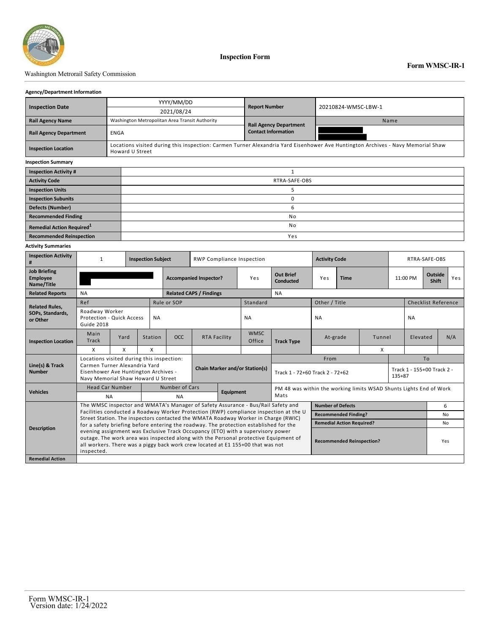

### Washington Metrorail Safety Commission

#### **Agency/Department Information**

| <b>Inspection Date</b>                |             | YYYY/MM/DD                                                                                                                                         | <b>Report Number</b>          | 20210824-WMSC-LBW-1 |  |  |  |  |  |
|---------------------------------------|-------------|----------------------------------------------------------------------------------------------------------------------------------------------------|-------------------------------|---------------------|--|--|--|--|--|
|                                       |             | 2021/08/24                                                                                                                                         |                               |                     |  |  |  |  |  |
| <b>Rail Agency Name</b>               |             | Washington Metropolitan Area Transit Authority                                                                                                     | <b>Rail Agency Department</b> | Name                |  |  |  |  |  |
| <b>Rail Agency Department</b>         | <b>ENGA</b> |                                                                                                                                                    | <b>Contact Information</b>    |                     |  |  |  |  |  |
| <b>Inspection Location</b>            |             | Locations visited during this inspection: Carmen Turner Alexandria Yard Eisenhower Ave Huntington Archives - Navy Memorial Shaw<br>Howard U Street |                               |                     |  |  |  |  |  |
| <b>Inspection Summary</b>             |             |                                                                                                                                                    |                               |                     |  |  |  |  |  |
| <b>Inspection Activity #</b>          |             |                                                                                                                                                    |                               |                     |  |  |  |  |  |
| <b>Activity Code</b>                  |             | RTRA-SAFE-OBS                                                                                                                                      |                               |                     |  |  |  |  |  |
| <b>Inspection Units</b>               |             | 5                                                                                                                                                  |                               |                     |  |  |  |  |  |
| <b>Inspection Subunits</b>            |             | 0                                                                                                                                                  |                               |                     |  |  |  |  |  |
| <b>Defects (Number)</b>               |             |                                                                                                                                                    | 6                             |                     |  |  |  |  |  |
| <b>Recommended Finding</b>            |             |                                                                                                                                                    | No                            |                     |  |  |  |  |  |
| Remedial Action Required <sup>1</sup> |             |                                                                                                                                                    | No                            |                     |  |  |  |  |  |
| <b>Recommended Reinspection</b>       |             | Yes                                                                                                                                                |                               |                     |  |  |  |  |  |

#### **Activity Summaries**

| <b>Inspection Activity</b><br>#                      | <b>Inspection Subject</b>                                                                                                                                                                                                                                               |      |                                       | <b>RWP Compliance Inspection</b> |                     |           |                       | <b>Activity Code</b>                                               |               |                                  | RTRA-SAFE-OBS |                            |                     |                  |     |  |
|------------------------------------------------------|-------------------------------------------------------------------------------------------------------------------------------------------------------------------------------------------------------------------------------------------------------------------------|------|---------------------------------------|----------------------------------|---------------------|-----------|-----------------------|--------------------------------------------------------------------|---------------|----------------------------------|---------------|----------------------------|---------------------|------------------|-----|--|
| <b>Job Briefing</b><br><b>Employee</b><br>Name/Title |                                                                                                                                                                                                                                                                         |      |                                       | <b>Accompanied Inspector?</b>    |                     |           | Yes                   | <b>Out Brief</b><br><b>Conducted</b>                               | Yes           | <b>Time</b>                      |               | 11:00 PM                   |                     | Outside<br>Shift | Yes |  |
| <b>Related Reports</b>                               | <b>NA</b>                                                                                                                                                                                                                                                               |      |                                       | <b>Related CAPS / Findings</b>   |                     |           | <b>NA</b>             |                                                                    |               |                                  |               |                            |                     |                  |     |  |
| <b>Related Rules,</b>                                | Ref                                                                                                                                                                                                                                                                     |      |                                       | Rule or SOP                      |                     |           | Standard              |                                                                    | Other / Title |                                  |               |                            | Checklist Reference |                  |     |  |
| SOPs, Standards,<br>or Other                         | Roadway Worker<br><b>Protection - Quick Access</b><br><b>Guide 2018</b>                                                                                                                                                                                                 |      |                                       | <b>NA</b>                        |                     |           | <b>NA</b>             |                                                                    | <b>NA</b>     |                                  |               |                            | <b>NA</b>           |                  |     |  |
| <b>Inspection Location</b>                           | Main<br>Track                                                                                                                                                                                                                                                           | Yard | Station                               | <b>OCC</b>                       | <b>RTA Facility</b> |           | <b>WMSC</b><br>Office | <b>Track Type</b>                                                  |               | Tunnel<br>At-grade               |               |                            | Elevated            |                  | N/A |  |
|                                                      | X                                                                                                                                                                                                                                                                       | X    | X                                     |                                  |                     |           |                       |                                                                    |               |                                  | X             |                            |                     |                  |     |  |
|                                                      | Locations visited during this inspection:                                                                                                                                                                                                                               |      |                                       |                                  |                     | From      |                       |                                                                    |               | To                               |               |                            |                     |                  |     |  |
| Line(s) & Track<br><b>Number</b>                     | Carmen Turner Alexandria Yard<br>Eisenhower Ave Huntington Archives -<br>Navy Memorial Shaw Howard U Street                                                                                                                                                             |      | <b>Chain Marker and/or Station(s)</b> |                                  |                     |           |                       | Track 1 - 72+60 Track 2 - 72+62<br>$135 + 87$                      |               |                                  |               | Track 1 - 155+00 Track 2 - |                     |                  |     |  |
| <b>Vehicles</b>                                      | <b>Head Car Number</b>                                                                                                                                                                                                                                                  |      |                                       | <b>Number of Cars</b>            |                     | Equipment |                       | PM 48 was within the working limits WSAD Shunts Lights End of Work |               |                                  |               |                            |                     |                  |     |  |
|                                                      | <b>NA</b>                                                                                                                                                                                                                                                               |      |                                       | <b>NA</b>                        |                     |           |                       | Mats                                                               |               |                                  |               |                            |                     |                  |     |  |
| <b>Description</b>                                   | The WMSC inspector and WMATA's Manager of Safety Assurance - Bus/Rail Safety and                                                                                                                                                                                        |      | <b>Number of Defects</b>              |                                  |                     |           |                       |                                                                    | 6             |                                  |               |                            |                     |                  |     |  |
|                                                      | Facilities conducted a Roadway Worker Protection (RWP) compliance inspection at the U<br>Street Station. The inspectors contacted the WMATA Roadway Worker in Charge (RWIC)                                                                                             |      |                                       |                                  |                     |           |                       |                                                                    |               | <b>Recommended Finding?</b>      |               |                            |                     |                  | No  |  |
|                                                      | for a safety briefing before entering the roadway. The protection established for the                                                                                                                                                                                   |      |                                       |                                  |                     |           |                       |                                                                    |               | <b>Remedial Action Required?</b> |               |                            |                     |                  | No  |  |
|                                                      | evening assignment was Exclusive Track Occupancy (ETO) with a supervisory power<br>outage. The work area was inspected along with the Personal protective Equipment of<br>all workers. There was a piggy back work crew located at E1 155+00 that was not<br>inspected. |      |                                       |                                  |                     |           |                       |                                                                    |               | <b>Recommended Reinspection?</b> |               |                            |                     | Yes              |     |  |
| <b>Remedial Action</b>                               |                                                                                                                                                                                                                                                                         |      |                                       |                                  |                     |           |                       |                                                                    |               |                                  |               |                            |                     |                  |     |  |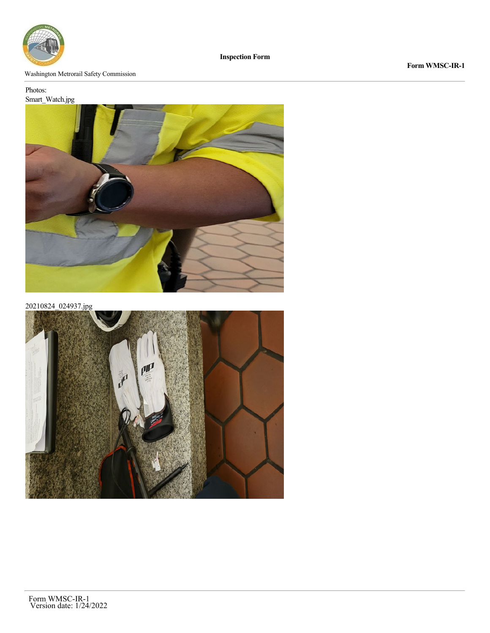

### Washington Metrorail Safety Commission

# Photos:

Smart\_Watch.jpg



20210824\_024937.jpg

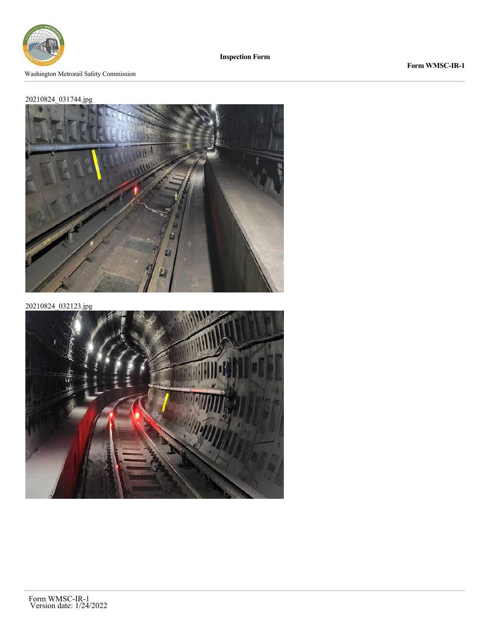

## **Form WMSC-IR-1**

# 20210824\_031744.jpg



20210824\_032123.jpg